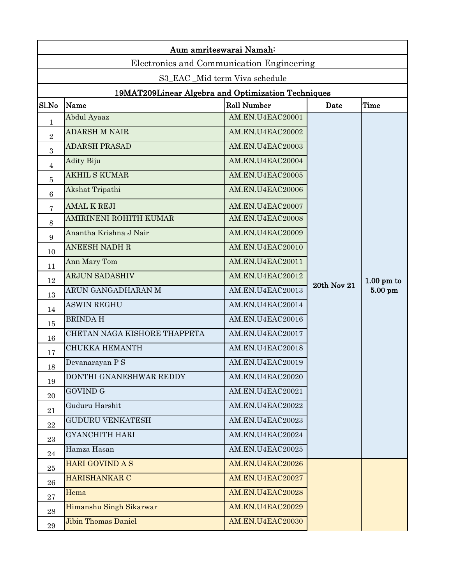|                 | Aum amriteswarai Namah:                            |                    |                    |                      |
|-----------------|----------------------------------------------------|--------------------|--------------------|----------------------|
|                 | Electronics and Communication Engineering          |                    |                    |                      |
|                 | S3_EAC_Mid term Viva schedule                      |                    |                    |                      |
|                 | 19MAT209Linear Algebra and Optimization Techniques |                    |                    |                      |
| Sl.No           | Name                                               | <b>Roll Number</b> | Date               | Time                 |
| $\mathbf 1$     | Abdul Ayaaz                                        | AM.EN.U4EAC20001   |                    |                      |
| $\sqrt{2}$      | <b>ADARSH M NAIR</b>                               | AM.EN.U4EAC20002   |                    |                      |
| $\sqrt{3}$      | <b>ADARSH PRASAD</b>                               | AM.EN.U4EAC20003   |                    |                      |
| $\overline{4}$  | <b>Adity Biju</b>                                  | AM.EN.U4EAC20004   |                    |                      |
| 5               | <b>AKHIL S KUMAR</b>                               | AM.EN.U4EAC20005   |                    |                      |
| $6\phantom{.}6$ | Akshat Tripathi                                    | AM.EN.U4EAC20006   |                    |                      |
| 7               | <b>AMAL K REJI</b>                                 | AM.EN.U4EAC20007   |                    |                      |
| 8               | AMIRINENI ROHITH KUMAR                             | AM.EN.U4EAC20008   |                    |                      |
| 9               | Anantha Krishna J Nair                             | AM.EN.U4EAC20009   |                    |                      |
| 10              | <b>ANEESH NADH R</b>                               | AM.EN.U4EAC20010   |                    |                      |
| 11              | Ann Mary Tom                                       | AM.EN.U4EAC20011   |                    |                      |
| 12              | <b>ARJUN SADASHIV</b>                              | AM.EN.U4EAC20012   |                    | $1.00 \text{ pm}$ to |
| 13              | ARUN GANGADHARAN M                                 | AM.EN.U4EAC20013   | <b>20th Nov 21</b> | $5.00$ pm            |
| 14              | <b>ASWIN REGHU</b>                                 | AM.EN.U4EAC20014   |                    |                      |
| 15              | <b>BRINDAH</b>                                     | AM.EN.U4EAC20016   |                    |                      |
| 16              | CHETAN NAGA KISHORE THAPPETA                       | AM.EN.U4EAC20017   |                    |                      |
| 17              | <b>CHUKKA HEMANTH</b>                              | AM.EN.U4EAC20018   |                    |                      |
| 18              | Devanarayan P S                                    | AM.EN.U4EAC20019   |                    |                      |
| 19              | DONTHI GNANESHWAR REDDY                            | AM.EN.U4EAC20020   |                    |                      |
| 20              | <b>GOVIND G</b>                                    | AM.EN.U4EAC20021   |                    |                      |
| 21              | Guduru Harshit                                     | AM.EN.U4EAC20022   |                    |                      |
| $\bf 22$        | <b>GUDURU VENKATESH</b>                            | AM.EN.U4EAC20023   |                    |                      |
| 23              | <b>GYANCHITH HARI</b>                              | AM.EN.U4EAC20024   |                    |                      |
| 24              | Hamza Hasan                                        | AM.EN.U4EAC20025   |                    |                      |
| 25              | <b>HARI GOVIND A S</b>                             | AM.EN.U4EAC20026   |                    |                      |
| 26              | <b>HARISHANKAR C</b>                               | AM.EN.U4EAC20027   |                    |                      |
| $\bf 27$        | Hema                                               | AM.EN.U4EAC20028   |                    |                      |
| 28              | Himanshu Singh Sikarwar                            | AM.EN.U4EAC20029   |                    |                      |
| 29              | <b>Jibin Thomas Daniel</b>                         | AM.EN.U4EAC20030   |                    |                      |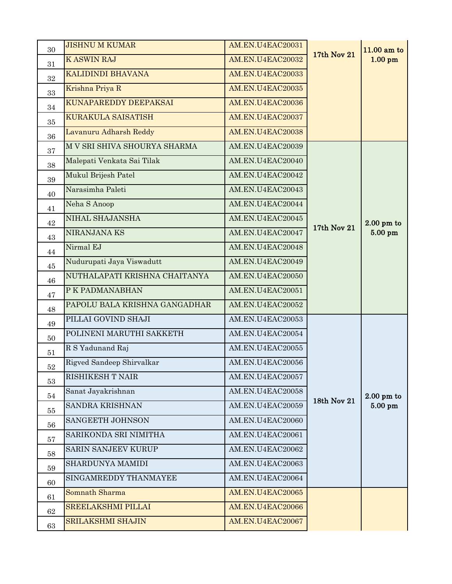| 30 | <b>JISHNU M KUMAR</b>         | AM.EN.U4EAC20031        |                    | $11.00$ am to |
|----|-------------------------------|-------------------------|--------------------|---------------|
| 31 | <b>KASWIN RAJ</b>             | AM.EN.U4EAC20032        | <b>17th Nov 21</b> | $1.00$ pm     |
| 32 | KALIDINDI BHAVANA             | <b>AM.EN.U4EAC20033</b> |                    |               |
| 33 | Krishna Priya R               | AM.EN.U4EAC20035        |                    |               |
| 34 | KUNAPAREDDY DEEPAKSAI         | AM.EN.U4EAC20036        |                    |               |
| 35 | <b>KURAKULA SAISATISH</b>     | AM.EN.U4EAC20037        |                    |               |
| 36 | Lavanuru Adharsh Reddy        | AM.EN.U4EAC20038        |                    |               |
| 37 | M V SRI SHIVA SHOURYA SHARMA  | AM.EN.U4EAC20039        |                    |               |
| 38 | Malepati Venkata Sai Tilak    | AM.EN.U4EAC20040        |                    |               |
| 39 | Mukul Brijesh Patel           | AM.EN.U4EAC20042        |                    |               |
| 40 | Narasimha Paleti              | AM.EN.U4EAC20043        |                    |               |
| 41 | Neha S Anoop                  | AM.EN.U4EAC20044        |                    |               |
| 42 | NIHAL SHAJANSHA               | AM.EN.U4EAC20045        |                    | $2.00$ pm to  |
| 43 | NIRANJANA KS                  | AM.EN.U4EAC20047        | 17th Nov 21        | $5.00$ pm     |
| 44 | Nirmal EJ                     | AM.EN.U4EAC20048        |                    |               |
| 45 | Nudurupati Jaya Viswadutt     | AM.EN.U4EAC20049        |                    |               |
| 46 | NUTHALAPATI KRISHNA CHAITANYA | AM.EN.U4EAC20050        |                    |               |
| 47 | P K PADMANABHAN               | AM.EN.U4EAC20051        |                    |               |
| 48 | PAPOLU BALA KRISHNA GANGADHAR | AM.EN.U4EAC20052        |                    |               |
| 49 | PILLAI GOVIND SHAJI           | AM.EN.U4EAC20053        |                    |               |
| 50 | POLINENI MARUTHI SAKKETH      | AM.EN.U4EAC20054        |                    |               |
| 51 | R S Yadunand Raj              | AM.EN.U4EAC20055        |                    |               |
| 52 | Rigved Sandeep Shirvalkar     | AM.EN.U4EAC20056        |                    |               |
| 53 | RISHIKESH T NAIR              | AM.EN.U4EAC20057        |                    |               |
| 54 | Sanat Jayakrishnan            | AM.EN.U4EAC20058        |                    | $2.00$ pm to  |
| 55 | SANDRA KRISHNAN               | AM.EN.U4EAC20059        | 18th Nov 21        | $5.00$ pm     |
| 56 | SANGEETH JOHNSON              | AM.EN.U4EAC20060        |                    |               |
| 57 | SARIKONDA SRI NIMITHA         | AM.EN.U4EAC20061        |                    |               |
| 58 | SARIN SANJEEV KURUP           | AM.EN.U4EAC20062        |                    |               |
| 59 | SHARDUNYA MAMIDI              | AM.EN.U4EAC20063        |                    |               |
| 60 | SINGAMREDDY THANMAYEE         | AM.EN.U4EAC20064        |                    |               |
| 61 | Somnath Sharma                | AM.EN.U4EAC20065        |                    |               |
| 62 | <b>SREELAKSHMI PILLAI</b>     | AM.EN.U4EAC20066        |                    |               |
| 63 | <b>SRILAKSHMI SHAJIN</b>      | AM.EN.U4EAC20067        |                    |               |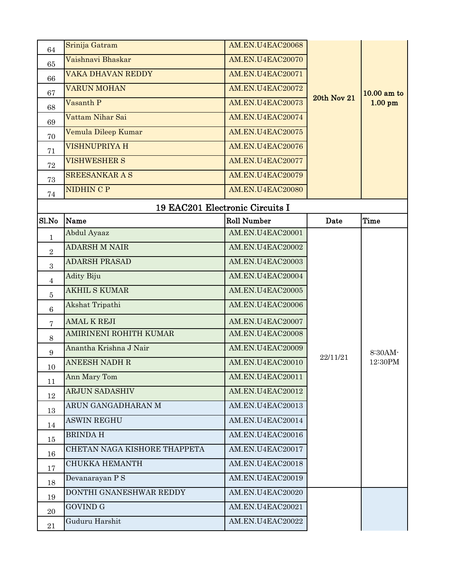| 64             | Srinija Gatram               | AM.EN.U4EAC20068                |                    |               |
|----------------|------------------------------|---------------------------------|--------------------|---------------|
| 65             | Vaishnavi Bhaskar            | AM.EN.U4EAC20070                |                    |               |
| 66             | VAKA DHAVAN REDDY            | AM.EN.U4EAC20071                |                    |               |
| 67             | <b>VARUN MOHAN</b>           | AM.EN.U4EAC20072                |                    | $10.00$ am to |
| 68             | Vasanth P                    | AM.EN.U4EAC20073                | <b>20th Nov 21</b> | $1.00$ pm     |
| 69             | Vattam Nihar Sai             | AM.EN.U4EAC20074                |                    |               |
| 70             | Vemula Dileep Kumar          | AM.EN.U4EAC20075                |                    |               |
| 71             | <b>VISHNUPRIYA H</b>         | AM.EN.U4EAC20076                |                    |               |
| 72             | <b>VISHWESHER S</b>          | AM.EN.U4EAC20077                |                    |               |
| 73             | <b>SREESANKAR A S</b>        | AM.EN.U4EAC20079                |                    |               |
| 74             | <b>NIDHIN C P</b>            | AM.EN.U4EAC20080                |                    |               |
|                |                              | 19 EAC201 Electronic Circuits I |                    |               |
| Sl.No          | Name                         | <b>Roll Number</b>              | Date               | Time          |
| 1              | Abdul Ayaaz                  | AM.EN.U4EAC20001                |                    |               |
| $\sqrt{2}$     | <b>ADARSH M NAIR</b>         | AM.EN.U4EAC20002                |                    |               |
| 3              | <b>ADARSH PRASAD</b>         | AM.EN.U4EAC20003                |                    |               |
| 4              | <b>Adity Biju</b>            | AM.EN.U4EAC20004                |                    |               |
| $\overline{5}$ | <b>AKHIL S KUMAR</b>         | AM.EN.U4EAC20005                |                    |               |
| 6              | Akshat Tripathi              | AM.EN.U4EAC20006                |                    |               |
| 7              | <b>AMAL K REJI</b>           | AM.EN.U4EAC20007                |                    |               |
| 8              | AMIRINENI ROHITH KUMAR       | AM.EN.U4EAC20008                |                    |               |
| 9              | Anantha Krishna J Nair       | AM.EN.U4EAC20009                |                    | 8:30AM-       |
| 10             | <b>ANEESH NADH R</b>         | AM.EN.U4EAC20010                | 22/11/21           | 12:30PM       |
| 11             | Ann Mary Tom                 | AM.EN.U4EAC20011                |                    |               |
| 12             | <b>ARJUN SADASHIV</b>        | AM.EN.U4EAC20012                |                    |               |
| 13             | ARUN GANGADHARAN M           | AM.EN.U4EAC20013                |                    |               |
| 14             | <b>ASWIN REGHU</b>           | AM.EN.U4EAC20014                |                    |               |
| 15             | <b>BRINDAH</b>               | AM.EN.U4EAC20016                |                    |               |
| 16             | CHETAN NAGA KISHORE THAPPETA | AM.EN.U4EAC20017                |                    |               |
| 17             | CHUKKA HEMANTH               | AM.EN.U4EAC20018                |                    |               |
| 18             | Devanarayan P S              | AM.EN.U4EAC20019                |                    |               |
| 19             | DONTHI GNANESHWAR REDDY      | AM.EN.U4EAC20020                |                    |               |
| 20             | <b>GOVIND G</b>              | AM.EN.U4EAC20021                |                    |               |
| 21             | Guduru Harshit               | AM.EN.U4EAC20022                |                    |               |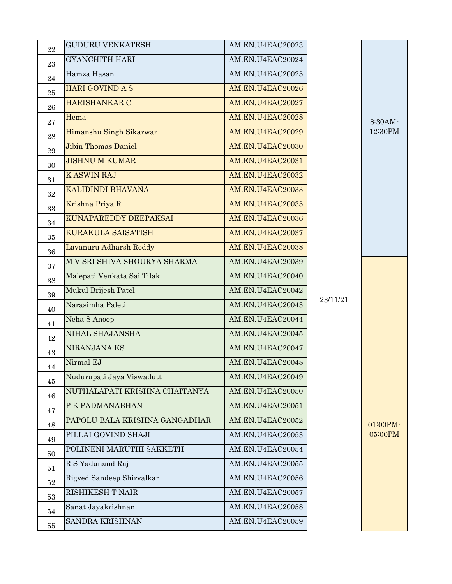| 22       | <b>GUDURU VENKATESH</b>       | AM.EN.U4EAC20023 |          |                    |
|----------|-------------------------------|------------------|----------|--------------------|
| 23       | <b>GYANCHITH HARI</b>         | AM.EN.U4EAC20024 |          |                    |
| 24       | Hamza Hasan                   | AM.EN.U4EAC20025 |          |                    |
| $25\,$   | <b>HARI GOVIND A S</b>        | AM.EN.U4EAC20026 |          | 8:30AM-<br>12:30PM |
| 26       | <b>HARISHANKAR C</b>          | AM.EN.U4EAC20027 |          |                    |
| 27       | Hema                          | AM.EN.U4EAC20028 |          |                    |
| 28       | Himanshu Singh Sikarwar       | AM.EN.U4EAC20029 |          |                    |
| 29       | <b>Jibin Thomas Daniel</b>    | AM.EN.U4EAC20030 |          |                    |
| 30       | <b>JISHNU M KUMAR</b>         | AM.EN.U4EAC20031 |          |                    |
| 31       | <b>KASWIN RAJ</b>             | AM.EN.U4EAC20032 |          |                    |
| 32       | <b>KALIDINDI BHAVANA</b>      | AM.EN.U4EAC20033 |          |                    |
| 33       | Krishna Priya R               | AM.EN.U4EAC20035 |          |                    |
| 34       | KUNAPAREDDY DEEPAKSAI         | AM.EN.U4EAC20036 |          |                    |
| 35       | <b>KURAKULA SAISATISH</b>     | AM.EN.U4EAC20037 |          |                    |
| 36       | Lavanuru Adharsh Reddy        | AM.EN.U4EAC20038 |          |                    |
| 37       | M V SRI SHIVA SHOURYA SHARMA  | AM.EN.U4EAC20039 |          |                    |
| 38       | Malepati Venkata Sai Tilak    | AM.EN.U4EAC20040 |          |                    |
| 39       | Mukul Brijesh Patel           | AM.EN.U4EAC20042 |          |                    |
| 40       | Narasimha Paleti              | AM.EN.U4EAC20043 | 23/11/21 |                    |
| 41       | Neha S Anoop                  | AM.EN.U4EAC20044 |          |                    |
| 42       | NIHAL SHAJANSHA               | AM.EN.U4EAC20045 |          |                    |
| 43       | NIRANJANA KS                  | AM.EN.U4EAC20047 |          |                    |
| 44       | Nirmal EJ                     | AM.EN.U4EAC20048 |          |                    |
|          | Nudurupati Jaya Viswadutt     | AM.EN.U4EAC20049 |          |                    |
| 45<br>46 | NUTHALAPATI KRISHNA CHAITANYA | AM.EN.U4EAC20050 |          |                    |
|          | P K PADMANABHAN               | AM.EN.U4EAC20051 |          |                    |
| 47       | PAPOLU BALA KRISHNA GANGADHAR | AM.EN.U4EAC20052 |          | 01:00PM-           |
| 48       | PILLAI GOVIND SHAJI           | AM.EN.U4EAC20053 |          | 05:00PM            |
| 49       | POLINENI MARUTHI SAKKETH      | AM.EN.U4EAC20054 |          |                    |
| 50       | R S Yadunand Raj              | AM.EN.U4EAC20055 |          |                    |
| 51       | Rigved Sandeep Shirvalkar     | AM.EN.U4EAC20056 |          |                    |
| $52\,$   | <b>RISHIKESH T NAIR</b>       | AM.EN.U4EAC20057 |          |                    |
| 53       | Sanat Jayakrishnan            | AM.EN.U4EAC20058 |          |                    |
| 54       | SANDRA KRISHNAN               | AM.EN.U4EAC20059 |          |                    |
| 55       |                               |                  |          |                    |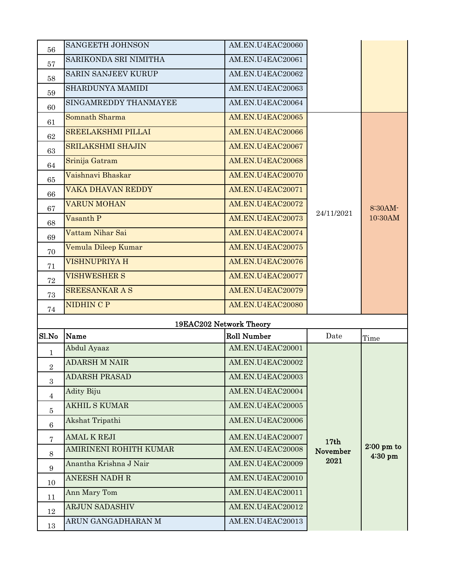| 56             | SANGEETH JOHNSON           | AM.EN.U4EAC20060        |                              |                      |
|----------------|----------------------------|-------------------------|------------------------------|----------------------|
| 57             | SARIKONDA SRI NIMITHA      | AM.EN.U4EAC20061        |                              |                      |
| 58             | <b>SARIN SANJEEV KURUP</b> | AM.EN.U4EAC20062        |                              |                      |
| 59             | SHARDUNYA MAMIDI           | AM.EN.U4EAC20063        |                              |                      |
| 60             | SINGAMREDDY THANMAYEE      | AM.EN.U4EAC20064        |                              |                      |
| 61             | Somnath Sharma             | AM.EN.U4EAC20065        |                              |                      |
| 62             | <b>SREELAKSHMI PILLAI</b>  | AM.EN.U4EAC20066        |                              |                      |
| 63             | <b>SRILAKSHMI SHAJIN</b>   | AM.EN.U4EAC20067        |                              |                      |
| 64             | Srinija Gatram             | AM.EN.U4EAC20068        |                              |                      |
| 65             | Vaishnavi Bhaskar          | AM.EN.U4EAC20070        |                              |                      |
| 66             | <b>VAKA DHAVAN REDDY</b>   | AM.EN.U4EAC20071        |                              |                      |
| 67             | <b>VARUN MOHAN</b>         | AM.EN.U4EAC20072        |                              | 8:30AM-              |
| 68             | Vasanth P                  | AM.EN.U4EAC20073        | 24/11/2021                   | 10:30AM              |
| 69             | Vattam Nihar Sai           | AM.EN.U4EAC20074        |                              |                      |
| 70             | Vemula Dileep Kumar        | AM.EN.U4EAC20075        |                              |                      |
| 71             | VISHNUPRIYA H              | AM.EN.U4EAC20076        |                              |                      |
| 72             | <b>VISHWESHER S</b>        | AM.EN.U4EAC20077        |                              |                      |
| 73             | <b>SREESANKAR A S</b>      | AM.EN.U4EAC20079        |                              |                      |
|                |                            |                         |                              |                      |
| 74             | <b>NIDHIN C P</b>          | AM.EN.U4EAC20080        |                              |                      |
|                |                            | 19EAC202 Network Theory |                              |                      |
| Sl.No          | Name                       | <b>Roll Number</b>      | Date                         | Time                 |
| $\mathbf 1$    | Abdul Ayaaz                | AM.EN.U4EAC20001        |                              |                      |
| 2              | <b>ADARSH M NAIR</b>       | AM.EN.U4EAC20002        |                              |                      |
| 3              | <b>ADARSH PRASAD</b>       | AM.EN.U4EAC20003        |                              |                      |
| 4              | <b>Adity Biju</b>          | AM.EN.U4EAC20004        |                              |                      |
| $\overline{5}$ | <b>AKHIL S KUMAR</b>       | AM.EN.U4EAC20005        |                              |                      |
| 6              | Akshat Tripathi            | AM.EN.U4EAC20006        |                              |                      |
| 7              | <b>AMAL K REJI</b>         | AM.EN.U4EAC20007        |                              |                      |
| $8\,$          | AMIRINENI ROHITH KUMAR     | AM.EN.U4EAC20008        | 17 <sub>th</sub><br>November | $2:00 \text{ pm}$ to |
| 9              | Anantha Krishna J Nair     | AM.EN.U4EAC20009        | 2021                         | 4:30 pm              |
| 10             | <b>ANEESH NADH R</b>       | AM.EN.U4EAC20010        |                              |                      |
| 11             | Ann Mary Tom               | AM.EN.U4EAC20011        |                              |                      |
| 12             | <b>ARJUN SADASHIV</b>      | AM.EN.U4EAC20012        |                              |                      |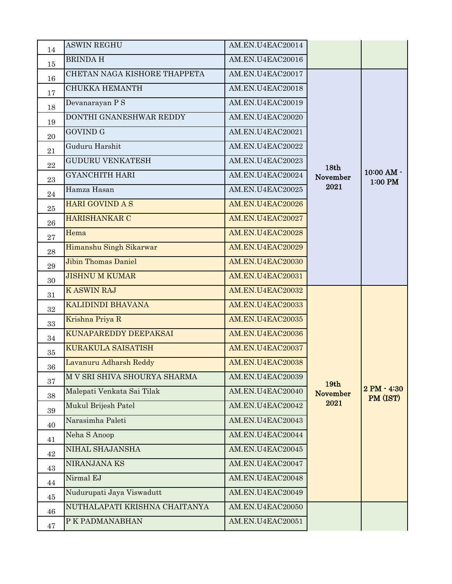| 14        | <b>ASWIN REGHU</b>            | AM.EN.U4EAC20014 |                          |                           |
|-----------|-------------------------------|------------------|--------------------------|---------------------------|
| 15        | <b>BRINDA H</b>               | AM.EN.U4EAC20016 |                          |                           |
| 16        | CHETAN NAGA KISHORE THAPPETA  | AM.EN.U4EAC20017 |                          |                           |
| 17        | <b>CHUKKA HEMANTH</b>         | AM.EN.U4EAC20018 |                          |                           |
| 18        | Devanarayan PS                | AM.EN.U4EAC20019 |                          |                           |
| 19        | DONTHI GNANESHWAR REDDY       | AM.EN.U4EAC20020 |                          |                           |
| 20        | <b>GOVIND G</b>               | AM.EN.U4EAC20021 |                          |                           |
| 21        | Guduru Harshit                | AM.EN.U4EAC20022 |                          |                           |
| 22        | <b>GUDURU VENKATESH</b>       | AM.EN.U4EAC20023 |                          |                           |
| 23        | <b>GYANCHITH HARI</b>         | AM.EN.U4EAC20024 | 18th<br>November<br>2021 | 10:00 AM -<br>1:00 PM     |
| $\bf{24}$ | Hamza Hasan                   | AM.EN.U4EAC20025 |                          |                           |
| 25        | <b>HARI GOVIND A S</b>        | AM.EN.U4EAC20026 |                          |                           |
| 26        | HARISHANKAR C                 | AM.EN.U4EAC20027 |                          |                           |
| 27        | Hema                          | AM.EN.U4EAC20028 |                          |                           |
| 28        | Himanshu Singh Sikarwar       | AM.EN.U4EAC20029 |                          |                           |
| 29        | <b>Jibin Thomas Daniel</b>    | AM.EN.U4EAC20030 |                          |                           |
| 30        | <b>JISHNU M KUMAR</b>         | AM.EN.U4EAC20031 |                          |                           |
| 31        | <b>KASWIN RAJ</b>             | AM.EN.U4EAC20032 |                          |                           |
| 32        | KALIDINDI BHAVANA             | AM.EN.U4EAC20033 |                          |                           |
| 33        | Krishna Priya R               | AM.EN.U4EAC20035 |                          |                           |
| 34        | KUNAPAREDDY DEEPAKSAI         | AM.EN.U4EAC20036 |                          |                           |
| 35        | <b>KURAKULA SAISATISH</b>     | AM.EN.U4EAC20037 |                          |                           |
| 36        | Lavanuru Adharsh Reddy        | AM.EN.U4EAC20038 |                          |                           |
| 37        | M V SRI SHIVA SHOURYA SHARMA  | AM.EN.U4EAC20039 | 19 <sub>th</sub>         |                           |
| 38        | Malepati Venkata Sai Tilak    | AM.EN.U4EAC20040 | <b>November</b>          | $2 PM - 4:30$<br>PM (IST) |
| 39        | Mukul Brijesh Patel           | AM.EN.U4EAC20042 | 2021                     |                           |
| 40        | Narasimha Paleti              | AM.EN.U4EAC20043 |                          |                           |
| 41        | Neha S Anoop                  | AM.EN.U4EAC20044 |                          |                           |
| 42        | NIHAL SHAJANSHA               | AM.EN.U4EAC20045 |                          |                           |
| 43        | NIRANJANA KS                  | AM.EN.U4EAC20047 |                          |                           |
| 44        | Nirmal EJ                     | AM.EN.U4EAC20048 |                          |                           |
| 45        | Nudurupati Jaya Viswadutt     | AM.EN.U4EAC20049 |                          |                           |
| 46        | NUTHALAPATI KRISHNA CHAITANYA | AM.EN.U4EAC20050 |                          |                           |
| 47        | P K PADMANABHAN               | AM.EN.U4EAC20051 |                          |                           |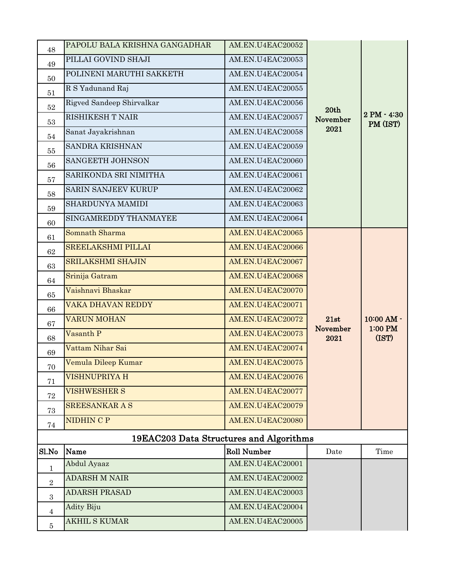| 48         | PAPOLU BALA KRISHNA GANGADHAR           | AM.EN.U4EAC20052   |                  |                         |
|------------|-----------------------------------------|--------------------|------------------|-------------------------|
| 49         | PILLAI GOVIND SHAJI                     | AM.EN.U4EAC20053   |                  |                         |
| 50         | POLINENI MARUTHI SAKKETH                | AM.EN.U4EAC20054   |                  |                         |
| 51         | R S Yadunand Raj                        | AM.EN.U4EAC20055   |                  |                         |
| 52         | Rigved Sandeep Shirvalkar               | AM.EN.U4EAC20056   | 20th             |                         |
| 53         | <b>RISHIKESH T NAIR</b>                 | AM.EN.U4EAC20057   | November         | 2 PM - 4:30<br>PM (IST) |
| 54         | Sanat Jayakrishnan                      | AM.EN.U4EAC20058   | 2021             |                         |
| 55         | <b>SANDRA KRISHNAN</b>                  | AM.EN.U4EAC20059   |                  |                         |
| 56         | SANGEETH JOHNSON                        | AM.EN.U4EAC20060   |                  |                         |
| 57         | SARIKONDA SRI NIMITHA                   | AM.EN.U4EAC20061   |                  |                         |
| 58         | <b>SARIN SANJEEV KURUP</b>              | AM.EN.U4EAC20062   |                  |                         |
| 59         | SHARDUNYA MAMIDI                        | AM.EN.U4EAC20063   |                  |                         |
| 60         | SINGAMREDDY THANMAYEE                   | AM.EN.U4EAC20064   |                  |                         |
| 61         | Somnath Sharma                          | AM.EN.U4EAC20065   |                  |                         |
| 62         | <b>SREELAKSHMI PILLAI</b>               | AM.EN.U4EAC20066   |                  |                         |
| 63         | <b>SRILAKSHMI SHAJIN</b>                | AM.EN.U4EAC20067   |                  |                         |
| 64         | Srinija Gatram                          | AM.EN.U4EAC20068   |                  |                         |
| 65         | Vaishnavi Bhaskar                       | AM.EN.U4EAC20070   |                  |                         |
| 66         | VAKA DHAVAN REDDY                       | AM.EN.U4EAC20071   |                  |                         |
| 67         | <b>VARUN MOHAN</b>                      | AM.EN.U4EAC20072   | 21st             | 10:00 AM -              |
| 68         | Vasanth P                               | AM.EN.U4EAC20073   | November<br>2021 | 1:00 PM<br>(IST)        |
| 69         | Vattam Nihar Sai                        | AM.EN.U4EAC20074   |                  |                         |
| 70         | Vemula Dileep Kumar                     | AM.EN.U4EAC20075   |                  |                         |
| 71         | VISHNUPRIYA H                           | AM.EN.U4EAC20076   |                  |                         |
| 72         | <b>VISHWESHER S</b>                     | AM.EN.U4EAC20077   |                  |                         |
| 73         | <b>SREESANKAR A S</b>                   | AM.EN.U4EAC20079   |                  |                         |
| 74         | <b>NIDHIN C P</b>                       | AM.EN.U4EAC20080   |                  |                         |
|            | 19EAC203 Data Structures and Algorithms |                    |                  |                         |
| Sl.No      | Name                                    | <b>Roll Number</b> | Date             | Time                    |
| 1          | Abdul Ayaaz                             | AM.EN.U4EAC20001   |                  |                         |
| $\sqrt{2}$ | <b>ADARSH M NAIR</b>                    | AM.EN.U4EAC20002   |                  |                         |
| $\sqrt{3}$ | <b>ADARSH PRASAD</b>                    | AM.EN.U4EAC20003   |                  |                         |
| 4          | <b>Adity Biju</b>                       | AM.EN.U4EAC20004   |                  |                         |
| $\bf 5$    | <b>AKHIL S KUMAR</b>                    | AM.EN.U4EAC20005   |                  |                         |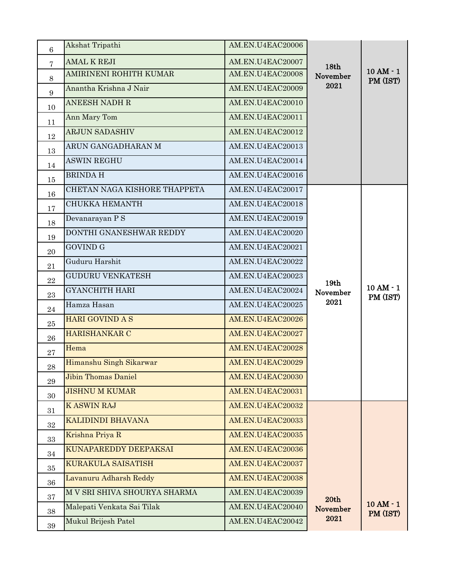|                  | Akshat Tripathi              | AM.EN.U4EAC20006 |                  |                       |
|------------------|------------------------------|------------------|------------------|-----------------------|
| 6                |                              |                  |                  |                       |
| $\overline{7}$   | <b>AMAL K REJI</b>           | AM.EN.U4EAC20007 | 18th             | $10AM - 1$            |
| 8                | AMIRINENI ROHITH KUMAR       | AM.EN.U4EAC20008 | November<br>2021 | PM (IST)              |
| $\boldsymbol{9}$ | Anantha Krishna J Nair       | AM.EN.U4EAC20009 |                  |                       |
| 10               | <b>ANEESH NADH R</b>         | AM.EN.U4EAC20010 |                  |                       |
| 11               | Ann Mary Tom                 | AM.EN.U4EAC20011 |                  |                       |
| 12               | <b>ARJUN SADASHIV</b>        | AM.EN.U4EAC20012 |                  |                       |
| 13               | ARUN GANGADHARAN M           | AM.EN.U4EAC20013 |                  |                       |
| 14               | <b>ASWIN REGHU</b>           | AM.EN.U4EAC20014 |                  |                       |
| 15               | <b>BRINDAH</b>               | AM.EN.U4EAC20016 |                  |                       |
| 16               | CHETAN NAGA KISHORE THAPPETA | AM.EN.U4EAC20017 |                  |                       |
| 17               | <b>CHUKKA HEMANTH</b>        | AM.EN.U4EAC20018 |                  |                       |
| 18               | Devanarayan P S              | AM.EN.U4EAC20019 |                  |                       |
| 19               | DONTHI GNANESHWAR REDDY      | AM.EN.U4EAC20020 |                  |                       |
| 20               | <b>GOVIND G</b>              | AM.EN.U4EAC20021 |                  |                       |
| 21               | Guduru Harshit               | AM.EN.U4EAC20022 |                  |                       |
| 22               | <b>GUDURU VENKATESH</b>      | AM.EN.U4EAC20023 | 19th             |                       |
| 23               | <b>GYANCHITH HARI</b>        | AM.EN.U4EAC20024 | November         | 10 AM - 1<br>PM (IST) |
| 24               | Hamza Hasan                  | AM.EN.U4EAC20025 | 2021             |                       |
| 25               | <b>HARI GOVIND A S</b>       | AM.EN.U4EAC20026 |                  |                       |
| 26               | HARISHANKAR C                | AM.EN.U4EAC20027 |                  |                       |
| 27               | Hema                         | AM.EN.U4EAC20028 |                  |                       |
| $\bf 28$         | Himanshu Singh Sikarwar      | AM.EN.U4EAC20029 |                  |                       |
| 29               | <b>Jibin Thomas Daniel</b>   | AM.EN.U4EAC20030 |                  |                       |
| 30               | <b>JISHNU M KUMAR</b>        | AM.EN.U4EAC20031 |                  |                       |
| 31               | <b>KASWIN RAJ</b>            | AM.EN.U4EAC20032 |                  |                       |
| $32\,$           | KALIDINDI BHAVANA            | AM.EN.U4EAC20033 |                  |                       |
| 33               | Krishna Priya R              | AM.EN.U4EAC20035 |                  |                       |
| 34               | KUNAPAREDDY DEEPAKSAI        | AM.EN.U4EAC20036 |                  |                       |
| 35               | KURAKULA SAISATISH           | AM.EN.U4EAC20037 |                  |                       |
| 36               | Lavanuru Adharsh Reddy       | AM.EN.U4EAC20038 |                  |                       |
| 37               | M V SRI SHIVA SHOURYA SHARMA | AM.EN.U4EAC20039 | 20th             |                       |
| 38               | Malepati Venkata Sai Tilak   | AM.EN.U4EAC20040 | November         | 10 AM - 1<br>PM (IST) |
| $39\,$           | Mukul Brijesh Patel          | AM.EN.U4EAC20042 | 2021             |                       |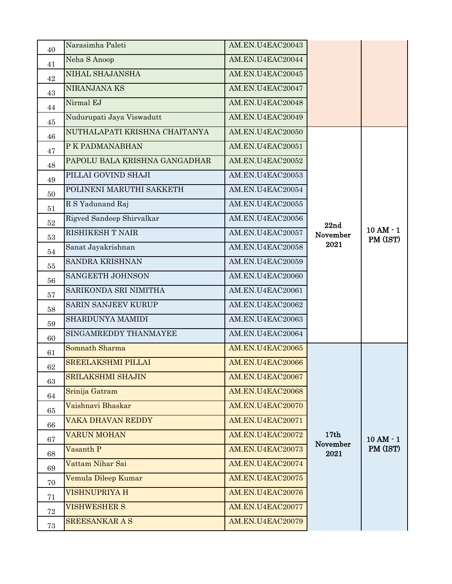| 40     | Narasimha Paleti              | AM.EN.U4EAC20043 |                  |                        |
|--------|-------------------------------|------------------|------------------|------------------------|
| 41     | Neha S Anoop                  | AM.EN.U4EAC20044 |                  |                        |
| 42     | NIHAL SHAJANSHA               | AM.EN.U4EAC20045 |                  |                        |
| 43     | NIRANJANA KS                  | AM.EN.U4EAC20047 |                  |                        |
| 44     | Nirmal EJ                     | AM.EN.U4EAC20048 |                  |                        |
| 45     | Nudurupati Jaya Viswadutt     | AM.EN.U4EAC20049 |                  |                        |
| 46     | NUTHALAPATI KRISHNA CHAITANYA | AM.EN.U4EAC20050 |                  |                        |
| 47     | P K PADMANABHAN               | AM.EN.U4EAC20051 |                  |                        |
| 48     | PAPOLU BALA KRISHNA GANGADHAR | AM.EN.U4EAC20052 |                  |                        |
| 49     | PILLAI GOVIND SHAJI           | AM.EN.U4EAC20053 |                  |                        |
| 50     | POLINENI MARUTHI SAKKETH      | AM.EN.U4EAC20054 |                  |                        |
| 51     | R S Yadunand Raj              | AM.EN.U4EAC20055 |                  |                        |
| 52     | Rigved Sandeep Shirvalkar     | AM.EN.U4EAC20056 | 22nd             |                        |
| 53     | RISHIKESH T NAIR              | AM.EN.U4EAC20057 | November         | $10AM - 1$<br>PM (IST) |
| 54     | Sanat Jayakrishnan            | AM.EN.U4EAC20058 | 2021             |                        |
| 55     | <b>SANDRA KRISHNAN</b>        | AM.EN.U4EAC20059 |                  |                        |
| 56     | SANGEETH JOHNSON              | AM.EN.U4EAC20060 |                  |                        |
| 57     | SARIKONDA SRI NIMITHA         | AM.EN.U4EAC20061 |                  |                        |
| 58     | SARIN SANJEEV KURUP           | AM.EN.U4EAC20062 |                  |                        |
| 59     | SHARDUNYA MAMIDI              | AM.EN.U4EAC20063 |                  |                        |
| 60     | SINGAMREDDY THANMAYEE         | AM.EN.U4EAC20064 |                  |                        |
| 61     | Somnath Sharma                | AM.EN.U4EAC20065 |                  |                        |
| 62     | <b>SREELAKSHMI PILLAI</b>     | AM.EN.U4EAC20066 |                  |                        |
| 63     | <b>SRILAKSHMI SHAJIN</b>      | AM.EN.U4EAC20067 |                  |                        |
| 64     | Srinija Gatram                | AM.EN.U4EAC20068 |                  |                        |
| 65     | Vaishnavi Bhaskar             | AM.EN.U4EAC20070 |                  |                        |
| 66     | VAKA DHAVAN REDDY             | AM.EN.U4EAC20071 |                  |                        |
| 67     | <b>VARUN MOHAN</b>            | AM.EN.U4EAC20072 | 17th             | $10AM - 1$             |
| 68     | Vasanth P                     | AM.EN.U4EAC20073 | November<br>2021 | PM (IST)               |
| 69     | Vattam Nihar Sai              | AM.EN.U4EAC20074 |                  |                        |
| 70     | Vemula Dileep Kumar           | AM.EN.U4EAC20075 |                  |                        |
| 71     | <b>VISHNUPRIYA H</b>          | AM.EN.U4EAC20076 |                  |                        |
| 72     | <b>VISHWESHER S</b>           | AM.EN.U4EAC20077 |                  |                        |
| $73\,$ | <b>SREESANKAR A S</b>         | AM.EN.U4EAC20079 |                  |                        |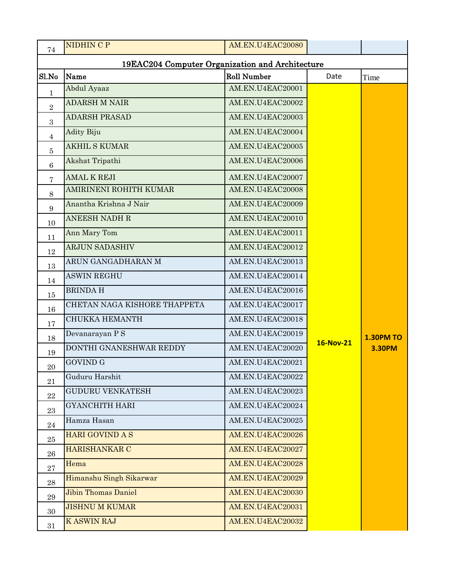| 74             | <b>NIDHIN C P</b>                               | AM.EN.U4EAC20080   |                  |                  |
|----------------|-------------------------------------------------|--------------------|------------------|------------------|
|                | 19EAC204 Computer Organization and Architecture |                    |                  |                  |
| Sl.No          | Name                                            | <b>Roll Number</b> | Date             | Time             |
| 1              | Abdul Ayaaz                                     | AM.EN.U4EAC20001   |                  |                  |
| $\overline{2}$ | <b>ADARSH M NAIR</b>                            | AM.EN.U4EAC20002   |                  |                  |
| 3              | <b>ADARSH PRASAD</b>                            | AM.EN.U4EAC20003   |                  |                  |
| 4              | <b>Adity Biju</b>                               | AM.EN.U4EAC20004   |                  |                  |
| 5              | <b>AKHIL S KUMAR</b>                            | AM.EN.U4EAC20005   |                  |                  |
| 6              | Akshat Tripathi                                 | AM.EN.U4EAC20006   |                  |                  |
| 7              | <b>AMAL K REJI</b>                              | AM.EN.U4EAC20007   |                  |                  |
| 8              | AMIRINENI ROHITH KUMAR                          | AM.EN.U4EAC20008   |                  |                  |
| 9              | Anantha Krishna J Nair                          | AM.EN.U4EAC20009   |                  |                  |
| 10             | <b>ANEESH NADH R</b>                            | AM.EN.U4EAC20010   |                  |                  |
| 11             | Ann Mary Tom                                    | AM.EN.U4EAC20011   |                  |                  |
| 12             | <b>ARJUN SADASHIV</b>                           | AM.EN.U4EAC20012   |                  |                  |
| 13             | ARUN GANGADHARAN M                              | AM.EN.U4EAC20013   |                  |                  |
| 14             | <b>ASWIN REGHU</b>                              | AM.EN.U4EAC20014   |                  |                  |
| 15             | <b>BRINDAH</b>                                  | AM.EN.U4EAC20016   |                  |                  |
| 16             | CHETAN NAGA KISHORE THAPPETA                    | AM.EN.U4EAC20017   |                  |                  |
| 17             | <b>CHUKKA HEMANTH</b>                           | AM.EN.U4EAC20018   |                  |                  |
| 18             | Devanarayan PS                                  | AM.EN.U4EAC20019   |                  | <b>1.30PM TO</b> |
| 19             | DONTHI GNANESHWAR REDDY                         | AM.EN.U4EAC20020   | <b>16-Nov-21</b> | <b>3.30PM</b>    |
| $20\,$         | <b>GOVIND G</b>                                 | AM.EN.U4EAC20021   |                  |                  |
| 21             | Guduru Harshit                                  | AM.EN.U4EAC20022   |                  |                  |
| $\bf{22}$      | <b>GUDURU VENKATESH</b>                         | AM.EN.U4EAC20023   |                  |                  |
| 23             | <b>GYANCHITH HARI</b>                           | AM.EN.U4EAC20024   |                  |                  |
| 24             | Hamza Hasan                                     | AM.EN.U4EAC20025   |                  |                  |
| 25             | <b>HARI GOVIND A S</b>                          | AM.EN.U4EAC20026   |                  |                  |
| ${\bf 26}$     | <b>HARISHANKAR C</b>                            | AM.EN.U4EAC20027   |                  |                  |
| 27             | Hema                                            | AM.EN.U4EAC20028   |                  |                  |
| $\bf 28$       | Himanshu Singh Sikarwar                         | AM.EN.U4EAC20029   |                  |                  |
| 29             | <b>Jibin Thomas Daniel</b>                      | AM.EN.U4EAC20030   |                  |                  |
| 30             | <b>JISHNU M KUMAR</b>                           | AM.EN.U4EAC20031   |                  |                  |
| 31             | <b>KASWIN RAJ</b>                               | AM.EN.U4EAC20032   |                  |                  |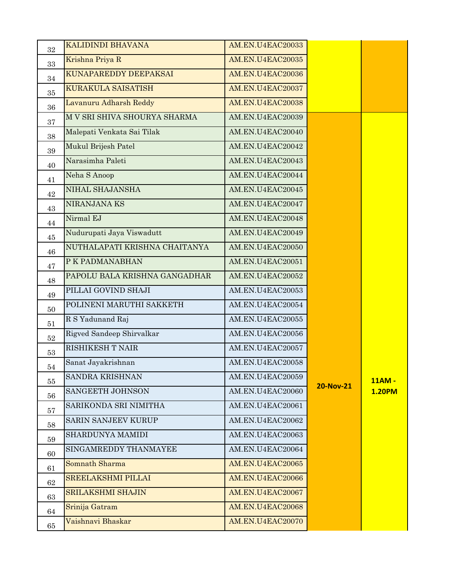| 32     | <b>KALIDINDI BHAVANA</b>      | AM.EN.U4EAC20033 |                  |               |
|--------|-------------------------------|------------------|------------------|---------------|
| 33     | Krishna Priya R               | AM.EN.U4EAC20035 |                  |               |
| 34     | KUNAPAREDDY DEEPAKSAI         | AM.EN.U4EAC20036 |                  |               |
| 35     | KURAKULA SAISATISH            | AM.EN.U4EAC20037 |                  |               |
| 36     | Lavanuru Adharsh Reddy        | AM.EN.U4EAC20038 |                  |               |
| 37     | M V SRI SHIVA SHOURYA SHARMA  | AM.EN.U4EAC20039 |                  |               |
| 38     | Malepati Venkata Sai Tilak    | AM.EN.U4EAC20040 |                  |               |
| 39     | Mukul Brijesh Patel           | AM.EN.U4EAC20042 |                  |               |
| 40     | Narasimha Paleti              | AM.EN.U4EAC20043 |                  |               |
| 41     | Neha S Anoop                  | AM.EN.U4EAC20044 |                  |               |
| 42     | NIHAL SHAJANSHA               | AM.EN.U4EAC20045 |                  |               |
| 43     | NIRANJANA KS                  | AM.EN.U4EAC20047 |                  |               |
| 44     | Nirmal EJ                     | AM.EN.U4EAC20048 |                  |               |
| 45     | Nudurupati Jaya Viswadutt     | AM.EN.U4EAC20049 |                  |               |
| 46     | NUTHALAPATI KRISHNA CHAITANYA | AM.EN.U4EAC20050 |                  |               |
| 47     | P K PADMANABHAN               | AM.EN.U4EAC20051 |                  |               |
| 48     | PAPOLU BALA KRISHNA GANGADHAR | AM.EN.U4EAC20052 |                  |               |
| 49     | PILLAI GOVIND SHAJI           | AM.EN.U4EAC20053 |                  |               |
| 50     | POLINENI MARUTHI SAKKETH      | AM.EN.U4EAC20054 |                  |               |
| 51     | R S Yadunand Raj              | AM.EN.U4EAC20055 |                  |               |
| $52\,$ | Rigved Sandeep Shirvalkar     | AM.EN.U4EAC20056 |                  |               |
| 53     | RISHIKESH T NAIR              | AM.EN.U4EAC20057 |                  |               |
| 54     | Sanat Jayakrishnan            | AM.EN.U4EAC20058 |                  |               |
| 55     | SANDRA KRISHNAN               | AM.EN.U4EAC20059 |                  | 11AM -        |
| 56     | SANGEETH JOHNSON              | AM.EN.U4EAC20060 | <b>20-Nov-21</b> | <b>1.20PM</b> |
| 57     | SARIKONDA SRI NIMITHA         | AM.EN.U4EAC20061 |                  |               |
| 58     | SARIN SANJEEV KURUP           | AM.EN.U4EAC20062 |                  |               |
| 59     | SHARDUNYA MAMIDI              | AM.EN.U4EAC20063 |                  |               |
| 60     | SINGAMREDDY THANMAYEE         | AM.EN.U4EAC20064 |                  |               |
| 61     | Somnath Sharma                | AM.EN.U4EAC20065 |                  |               |
| 62     | <b>SREELAKSHMI PILLAI</b>     | AM.EN.U4EAC20066 |                  |               |
| 63     | <b>SRILAKSHMI SHAJIN</b>      | AM.EN.U4EAC20067 |                  |               |
| 64     | Srinija Gatram                | AM.EN.U4EAC20068 |                  |               |
| 65     | Vaishnavi Bhaskar             | AM.EN.U4EAC20070 |                  |               |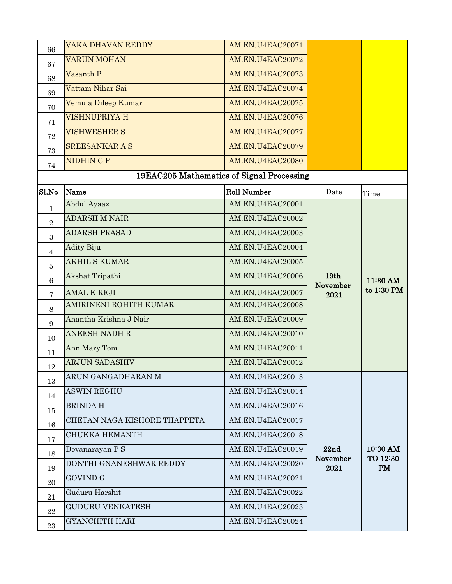| 66              | <b>VAKA DHAVAN REDDY</b>     | AM.EN.U4EAC20071                          |                  |                        |
|-----------------|------------------------------|-------------------------------------------|------------------|------------------------|
| 67              | <b>VARUN MOHAN</b>           | AM.EN.U4EAC20072                          |                  |                        |
| 68              | Vasanth P                    | AM.EN.U4EAC20073                          |                  |                        |
| 69              | Vattam Nihar Sai             | AM.EN.U4EAC20074                          |                  |                        |
| 70              | Vemula Dileep Kumar          | AM.EN.U4EAC20075                          |                  |                        |
| 71              | <b>VISHNUPRIYA H</b>         | AM.EN.U4EAC20076                          |                  |                        |
| 72              | <b>VISHWESHER S</b>          | AM.EN.U4EAC20077                          |                  |                        |
| 73              | <b>SREESANKAR A S</b>        | AM.EN.U4EAC20079                          |                  |                        |
| 74              | NIDHIN C P                   | AM.EN.U4EAC20080                          |                  |                        |
|                 |                              | 19EAC205 Mathematics of Signal Processing |                  |                        |
| Sl.No           | Name                         | <b>Roll Number</b>                        | Date             | Time                   |
| $\mathbf{1}$    | Abdul Ayaaz                  | AM.EN.U4EAC20001                          |                  |                        |
| $\overline{2}$  | <b>ADARSH M NAIR</b>         | AM.EN.U4EAC20002                          | 19 <sub>th</sub> | 11:30 AM<br>to 1:30 PM |
| 3               | <b>ADARSH PRASAD</b>         | AM.EN.U4EAC20003                          |                  |                        |
| 4               | <b>Adity Biju</b>            | AM.EN.U4EAC20004                          |                  |                        |
| $\bf 5$         | <b>AKHIL S KUMAR</b>         | AM.EN.U4EAC20005                          |                  |                        |
| $6\phantom{.}6$ | Akshat Tripathi              | AM.EN.U4EAC20006                          |                  |                        |
| 7               | <b>AMAL K REJI</b>           | AM.EN.U4EAC20007                          | November<br>2021 |                        |
| 8               | AMIRINENI ROHITH KUMAR       | AM.EN.U4EAC20008                          |                  |                        |
| 9               | Anantha Krishna J Nair       | AM.EN.U4EAC20009                          |                  |                        |
| 10              | <b>ANEESH NADH R</b>         | AM.EN.U4EAC20010                          |                  |                        |
| 11              | Ann Mary Tom                 | AM.EN.U4EAC20011                          |                  |                        |
| $12\,$          | <b>ARJUN SADASHIV</b>        | AM.EN.U4EAC20012                          |                  |                        |
| 13              | ARUN GANGADHARAN M           | AM.EN.U4EAC20013                          |                  |                        |
| 14              | <b>ASWIN REGHU</b>           | AM.EN.U4EAC20014                          |                  |                        |
| 15              | <b>BRINDAH</b>               | AM.EN.U4EAC20016                          |                  |                        |
| 16              | CHETAN NAGA KISHORE THAPPETA | AM.EN.U4EAC20017                          |                  |                        |
| 17              | <b>CHUKKA HEMANTH</b>        | AM.EN.U4EAC20018                          |                  |                        |
| 18              | Devanarayan P S              | AM.EN.U4EAC20019                          | 22nd             | 10:30 AM               |
| 19              | DONTHI GNANESHWAR REDDY      | AM.EN.U4EAC20020                          | November<br>2021 | TO 12:30<br>PM         |
| 20              | <b>GOVIND G</b>              | AM.EN.U4EAC20021                          |                  |                        |
| 21              | Guduru Harshit               | AM.EN.U4EAC20022                          |                  |                        |
| 22              | <b>GUDURU VENKATESH</b>      | AM.EN.U4EAC20023                          |                  |                        |
| 23              | <b>GYANCHITH HARI</b>        | AM.EN.U4EAC20024                          |                  |                        |
|                 |                              |                                           |                  |                        |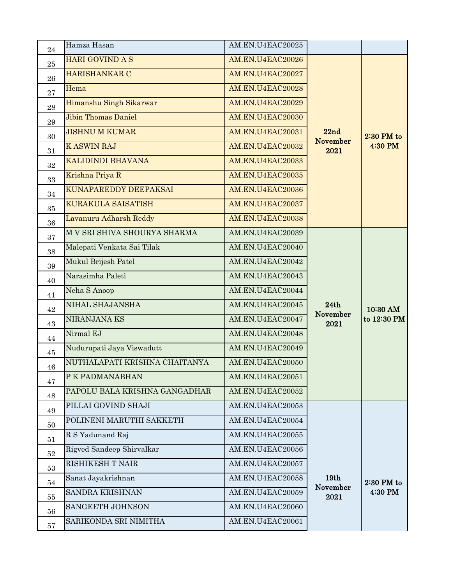| 24       | Hamza Hasan                   | AM.EN.U4EAC20025 |                  |              |
|----------|-------------------------------|------------------|------------------|--------------|
| $\bf 25$ | HARI GOVIND A S               | AM.EN.U4EAC20026 |                  |              |
| 26       | HARISHANKAR C                 | AM.EN.U4EAC20027 |                  |              |
| 27       | Hema                          | AM.EN.U4EAC20028 |                  |              |
| 28       | Himanshu Singh Sikarwar       | AM.EN.U4EAC20029 |                  |              |
| 29       | <b>Jibin Thomas Daniel</b>    | AM.EN.U4EAC20030 |                  |              |
| 30       | <b>JISHNU M KUMAR</b>         | AM.EN.U4EAC20031 | 22nd             | $2:30$ PM to |
| 31       | <b>KASWIN RAJ</b>             | AM.EN.U4EAC20032 | November<br>2021 | 4:30 PM      |
| 32       | KALIDINDI BHAVANA             | AM.EN.U4EAC20033 |                  |              |
| 33       | Krishna Priya R               | AM.EN.U4EAC20035 |                  |              |
| 34       | KUNAPAREDDY DEEPAKSAI         | AM.EN.U4EAC20036 |                  |              |
| 35       | <b>KURAKULA SAISATISH</b>     | AM.EN.U4EAC20037 |                  |              |
| 36       | Lavanuru Adharsh Reddy        | AM.EN.U4EAC20038 |                  |              |
| 37       | M V SRI SHIVA SHOURYA SHARMA  | AM.EN.U4EAC20039 |                  |              |
| 38       | Malepati Venkata Sai Tilak    | AM.EN.U4EAC20040 |                  |              |
| 39       | Mukul Brijesh Patel           | AM.EN.U4EAC20042 |                  |              |
| 40       | Narasimha Paleti              | AM.EN.U4EAC20043 |                  |              |
| 41       | Neha S Anoop                  | AM.EN.U4EAC20044 |                  |              |
| 42       | NIHAL SHAJANSHA               | AM.EN.U4EAC20045 | 24th             | 10:30 AM     |
| 43       | NIRANJANA KS                  | AM.EN.U4EAC20047 | November<br>2021 | to 12:30 PM  |
| 44       | Nirmal EJ                     | AM.EN.U4EAC20048 |                  |              |
| 45       | Nudurupati Jaya Viswadutt     | AM.EN.U4EAC20049 |                  |              |
| 46       | NUTHALAPATI KRISHNA CHAITANYA | AM.EN.U4EAC20050 |                  |              |
| 47       | P K PADMANABHAN               | AM.EN.U4EAC20051 |                  |              |
| 48       | PAPOLU BALA KRISHNA GANGADHAR | AM.EN.U4EAC20052 |                  |              |
| 49       | PILLAI GOVIND SHAJI           | AM.EN.U4EAC20053 |                  |              |
| 50       | POLINENI MARUTHI SAKKETH      | AM.EN.U4EAC20054 |                  |              |
| 51       | R S Yadunand Raj              | AM.EN.U4EAC20055 |                  |              |
| $52\,$   | Rigved Sandeep Shirvalkar     | AM.EN.U4EAC20056 |                  |              |
| 53       | <b>RISHIKESH T NAIR</b>       | AM.EN.U4EAC20057 |                  |              |
| 54       | Sanat Jayakrishnan            | AM.EN.U4EAC20058 | 19th             | $2:30$ PM to |
| 55       | SANDRA KRISHNAN               | AM.EN.U4EAC20059 | November<br>2021 | 4:30 PM      |
| 56       | SANGEETH JOHNSON              | AM.EN.U4EAC20060 |                  |              |
| 57       | SARIKONDA SRI NIMITHA         | AM.EN.U4EAC20061 |                  |              |